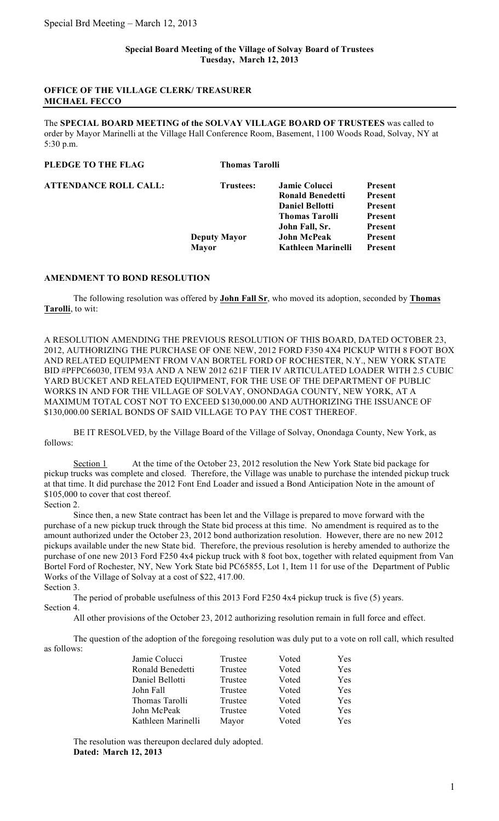## **OFFICE OF THE VILLAGE CLERK/ TREASURER MICHAEL FECCO**

The **SPECIAL BOARD MEETING of the SOLVAY VILLAGE BOARD OF TRUSTEES** was called to order by Mayor Marinelli at the Village Hall Conference Room, Basement, 1100 Woods Road, Solvay, NY at 5:30 p.m.

| PLEDGE TO THE FLAG           | <b>Thomas Tarolli</b>               |                                                                                                    |                                          |
|------------------------------|-------------------------------------|----------------------------------------------------------------------------------------------------|------------------------------------------|
| <b>ATTENDANCE ROLL CALL:</b> | <b>Trustees:</b>                    | <b>Jamie Colucci</b><br><b>Ronald Benedetti</b><br><b>Daniel Bellotti</b><br><b>Thomas Tarolli</b> | Present<br>Present<br>Present<br>Present |
|                              | <b>Deputy Mayor</b><br><b>Mayor</b> | John Fall, Sr.<br><b>John McPeak</b><br>Kathleen Marinelli                                         | Present<br>Present<br><b>Present</b>     |

## **AMENDMENT TO BOND RESOLUTION**

The following resolution was offered by **John Fall Sr**, who moved its adoption, seconded by **Thomas Tarolli**, to wit:

A RESOLUTION AMENDING THE PREVIOUS RESOLUTION OF THIS BOARD, DATED OCTOBER 23, 2012, AUTHORIZING THE PURCHASE OF ONE NEW, 2012 FORD F350 4X4 PICKUP WITH 8 FOOT BOX AND RELATED EQUIPMENT FROM VAN BORTEL FORD OF ROCHESTER, N.Y., NEW YORK STATE BID #PFPC66030, ITEM 93A AND A NEW 2012 621F TIER IV ARTICULATED LOADER WITH 2.5 CUBIC YARD BUCKET AND RELATED EQUIPMENT, FOR THE USE OF THE DEPARTMENT OF PUBLIC WORKS IN AND FOR THE VILLAGE OF SOLVAY, ONONDAGA COUNTY, NEW YORK, AT A MAXIMUM TOTAL COST NOT TO EXCEED \$130,000.00 AND AUTHORIZING THE ISSUANCE OF \$130,000.00 SERIAL BONDS OF SAID VILLAGE TO PAY THE COST THEREOF.

BE IT RESOLVED, by the Village Board of the Village of Solvay, Onondaga County, New York, as follows:

Section 1 At the time of the October 23, 2012 resolution the New York State bid package for pickup trucks was complete and closed. Therefore, the Village was unable to purchase the intended pickup truck at that time. It did purchase the 2012 Font End Loader and issued a Bond Anticipation Note in the amount of \$105,000 to cover that cost thereof.

Section 2.

Since then, a new State contract has been let and the Village is prepared to move forward with the purchase of a new pickup truck through the State bid process at this time. No amendment is required as to the amount authorized under the October 23, 2012 bond authorization resolution. However, there are no new 2012 pickups available under the new State bid. Therefore, the previous resolution is hereby amended to authorize the purchase of one new 2013 Ford F250 4x4 pickup truck with 8 foot box, together with related equipment from Van Bortel Ford of Rochester, NY, New York State bid PC65855, Lot 1, Item 11 for use of the Department of Public Works of the Village of Solvay at a cost of \$22, 417.00. Section 3.

The period of probable usefulness of this 2013 Ford F250 4x4 pickup truck is five (5) years. Section 4.

All other provisions of the October 23, 2012 authorizing resolution remain in full force and effect.

The question of the adoption of the foregoing resolution was duly put to a vote on roll call, which resulted as follows:

| Jamie Colucci      | Trustee | Voted | Yes |
|--------------------|---------|-------|-----|
| Ronald Benedetti   | Trustee | Voted | Yes |
| Daniel Bellotti    | Trustee | Voted | Yes |
| John Fall          | Trustee | Voted | Yes |
| Thomas Tarolli     | Trustee | Voted | Yes |
| John McPeak        | Trustee | Voted | Yes |
| Kathleen Marinelli | Mayor   | Voted | Yes |

The resolution was thereupon declared duly adopted. **Dated: March 12, 2013**